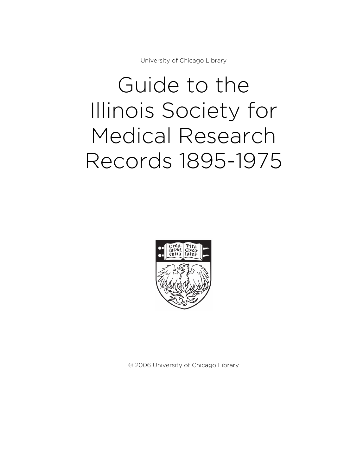University of Chicago Library

# Guide to the Illinois Society for Medical Research Records 1895-1975



© 2006 University of Chicago Library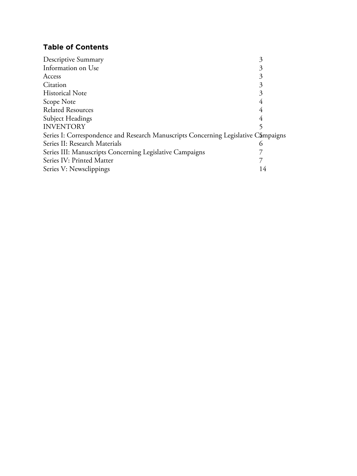# **Table of Contents**

| Descriptive Summary                                                                | 3        |
|------------------------------------------------------------------------------------|----------|
| Information on Use                                                                 | 3        |
| Access                                                                             | 3        |
| Citation                                                                           | 3        |
| <b>Historical Note</b>                                                             | 3        |
| Scope Note                                                                         | 4        |
| <b>Related Resources</b>                                                           | 4        |
| Subject Headings                                                                   |          |
| <b>INVENTORY</b>                                                                   |          |
| Series I: Correspondence and Research Manuscripts Concerning Legislative Campaigns |          |
| Series II: Research Materials                                                      | $\Omega$ |
| Series III: Manuscripts Concerning Legislative Campaigns                           |          |
| Series IV: Printed Matter                                                          |          |
| Series V: Newsclippings                                                            | 14       |
|                                                                                    |          |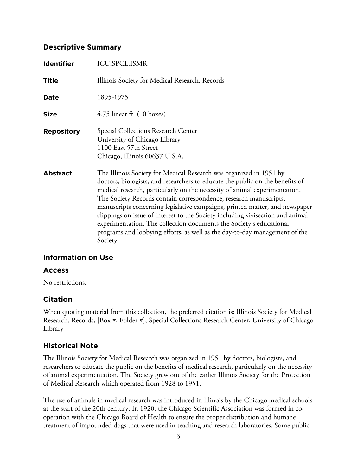## **Descriptive Summary**

| <b>Identifier</b> | <b>ICU.SPCL.ISMR</b>                                                                                                                                                                                                                                                                                                                                                                                                                                                                                                                                                                                                                     |
|-------------------|------------------------------------------------------------------------------------------------------------------------------------------------------------------------------------------------------------------------------------------------------------------------------------------------------------------------------------------------------------------------------------------------------------------------------------------------------------------------------------------------------------------------------------------------------------------------------------------------------------------------------------------|
| <b>Title</b>      | Illinois Society for Medical Research. Records                                                                                                                                                                                                                                                                                                                                                                                                                                                                                                                                                                                           |
| Date              | 1895-1975                                                                                                                                                                                                                                                                                                                                                                                                                                                                                                                                                                                                                                |
| <b>Size</b>       | $4.75$ linear ft. $(10 \text{ boxes})$                                                                                                                                                                                                                                                                                                                                                                                                                                                                                                                                                                                                   |
| <b>Repository</b> | Special Collections Research Center<br>University of Chicago Library<br>1100 East 57th Street<br>Chicago, Illinois 60637 U.S.A.                                                                                                                                                                                                                                                                                                                                                                                                                                                                                                          |
| <b>Abstract</b>   | The Illinois Society for Medical Research was organized in 1951 by<br>doctors, biologists, and researchers to educate the public on the benefits of<br>medical research, particularly on the necessity of animal experimentation.<br>The Society Records contain correspondence, research manuscripts,<br>manuscripts concerning legislative campaigns, printed matter, and newspaper<br>clippings on issue of interest to the Society including vivisection and animal<br>experimentation. The collection documents the Society's educational<br>programs and lobbying efforts, as well as the day-to-day management of the<br>Society. |

## **Information on Use**

#### **Access**

No restrictions.

#### **Citation**

When quoting material from this collection, the preferred citation is: Illinois Society for Medical Research. Records, [Box #, Folder #], Special Collections Research Center, University of Chicago Library

## **Historical Note**

The Illinois Society for Medical Research was organized in 1951 by doctors, biologists, and researchers to educate the public on the benefits of medical research, particularly on the necessity of animal experimentation. The Society grew out of the earlier Illinois Society for the Protection of Medical Research which operated from 1928 to 1951.

The use of animals in medical research was introduced in Illinois by the Chicago medical schools at the start of the 20th century. In 1920, the Chicago Scientific Association was formed in cooperation with the Chicago Board of Health to ensure the proper distribution and humane treatment of impounded dogs that were used in teaching and research laboratories. Some public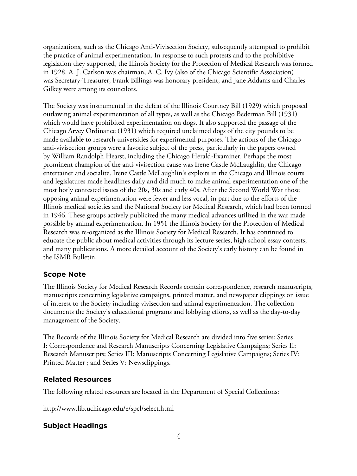organizations, such as the Chicago Anti-Vivisection Society, subsequently attempted to prohibit the practice of animal experimentation. In response to such protests and to the prohibitive legislation they supported, the Illinois Society for the Protection of Medical Research was formed in 1928. A. J. Carlson was chairman, A. C. Ivy (also of the Chicago Scientific Association) was Secretary-Treasurer, Frank Billings was honorary president, and Jane Addams and Charles Gilkey were among its councilors.

The Society was instrumental in the defeat of the Illinois Courtney Bill (1929) which proposed outlawing animal experimentation of all types, as well as the Chicago Bederman Bill (1931) which would have prohibited experimentation on dogs. It also supported the passage of the Chicago Arvey Ordinance (1931) which required unclaimed dogs of the city pounds to be made available to research universities for experimental purposes. The actions of the Chicago anti-vivisection groups were a favorite subject of the press, particularly in the papers owned by William Randolph Hearst, including the Chicago Herald-Examiner. Perhaps the most prominent champion of the anti-vivisection cause was Irene Castle McLaughlin, the Chicago entertainer and socialite. Irene Castle McLaughlin's exploits in the Chicago and Illinois courts and legislatures made headlines daily and did much to make animal experimentation one of the most hotly contested issues of the 20s, 30s and early 40s. After the Second World War those opposing animal experimentation were fewer and less vocal, in part due to the efforts of the Illinois medical societies and the National Society for Medical Research, which had been formed in 1946. These groups actively publicized the many medical advances utilized in the war made possible by animal experimentation. In 1951 the Illinois Society for the Protection of Medical Research was re-organized as the Illinois Society for Medical Research. It has continued to educate the public about medical activities through its lecture series, high school essay contests, and many publications. A more detailed account of the Society's early history can be found in the ISMR Bulletin.

## **Scope Note**

The Illinois Society for Medical Research Records contain correspondence, research manuscripts, manuscripts concerning legislative campaigns, printed matter, and newspaper clippings on issue of interest to the Society including vivisection and animal experimentation. The collection documents the Society's educational programs and lobbying efforts, as well as the day-to-day management of the Society.

The Records of the Illinois Society for Medical Research are divided into five series: Series I: Correspondence and Research Manuscripts Concerning Legislative Campaigns; Series II: Research Manuscripts; Series III: Manuscripts Concerning Legislative Campaigns; Series IV: Printed Matter ; and Series V: Newsclippings.

## **Related Resources**

The following related resources are located in the Department of Special Collections:

http://www.lib.uchicago.edu/e/spcl/select.html

## **Subject Headings**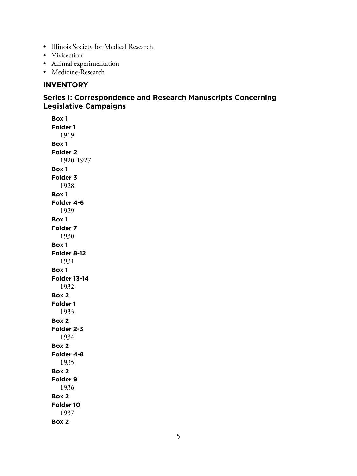- Illinois Society for Medical Research
- Vivisection
- Animal experimentation
- Medicine-Research

#### **INVENTORY**

# **Series I: Correspondence and Research Manuscripts Concerning Legislative Campaigns**

**Box 1 Folder 1** 1919 **Box 1 Folder 2** 1920-1927 **Box 1 Folder 3** 1928 **Box 1 Folder 4-6** 1929 **Box 1 Folder 7** 1930 **Box 1 Folder 8-12** 1931 **Box 1 Folder 13-14** 1932 **Box 2 Folder 1** 1933 **Box 2 Folder 2-3** 1934 **Box 2 Folder 4-8** 1935 **Box 2 Folder 9** 1936 **Box 2 Folder 10** 1937 **Box 2**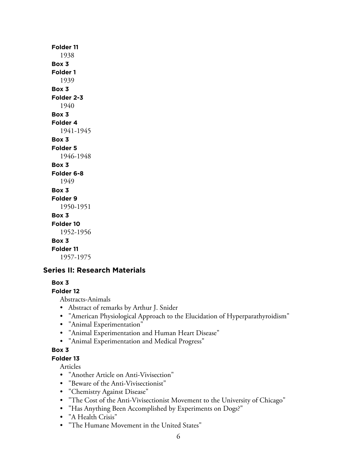## **Folder 11** 1938 **Box 3 Folder 1** 1939 **Box 3 Folder 2-3** 1940 **Box 3 Folder 4** 1941-1945 **Box 3 Folder 5** 1946-1948 **Box 3 Folder 6-8** 1949 **Box 3 Folder 9** 1950-1951 **Box 3 Folder 10** 1952-1956 **Box 3 Folder 11** 1957-1975

## **Series II: Research Materials**

#### **Box 3**

#### **Folder 12**

Abstracts-Animals

- Abstract of remarks by Arthur J. Snider
- "American Physiological Approach to the Elucidation of Hyperparathyroidism"
- "Animal Experimentation"
- "Animal Experimentation and Human Heart Disease"
- "Animal Experimentation and Medical Progress"

#### **Box 3**

**Folder 13**

Articles

- "Another Article on Anti-Vivisection"
- "Beware of the Anti-Vivisectionist"
- "Chemistry Against Disease"
- "The Cost of the Anti-Vivisectionist Movement to the University of Chicago"
- "Has Anything Been Accomplished by Experiments on Dogs?"
- "A Health Crisis"
- "The Humane Movement in the United States"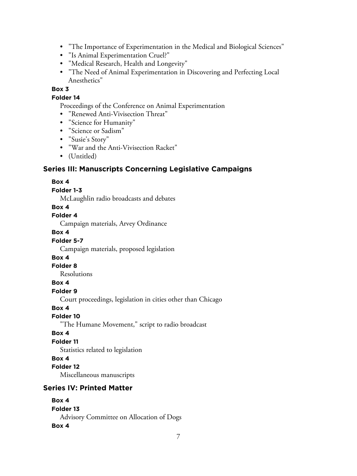- "The Importance of Experimentation in the Medical and Biological Sciences"
- "Is Animal Experimentation Cruel?"
- "Medical Research, Health and Longevity"
- "The Need of Animal Experimentation in Discovering and Perfecting Local Anesthetics"

#### **Box 3**

#### **Folder 14**

Proceedings of the Conference on Animal Experimentation

- "Renewed Anti-Vivisection Threat"
- "Science for Humanity"
- "Science or Sadism"
- "Susie's Story"
- "War and the Anti-Vivisection Racket"
- (Untitled)

#### **Series III: Manuscripts Concerning Legislative Campaigns**

#### **Box 4**

#### **Folder 1-3**

McLaughlin radio broadcasts and debates

#### **Box 4**

#### **Folder 4**

Campaign materials, Arvey Ordinance

#### **Box 4**

#### **Folder 5-7**

Campaign materials, proposed legislation

#### **Box 4**

#### **Folder 8**

Resolutions

#### **Box 4**

#### **Folder 9**

Court proceedings, legislation in cities other than Chicago

#### **Box 4**

**Folder 10**

"The Humane Movement," script to radio broadcast

#### **Box 4**

#### **Folder 11**

Statistics related to legislation

#### **Box 4**

#### **Folder 12**

Miscellaneous manuscripts

#### **Series IV: Printed Matter**

#### **Box 4**

#### **Folder 13**

Advisory Committee on Allocation of Dogs

#### **Box 4**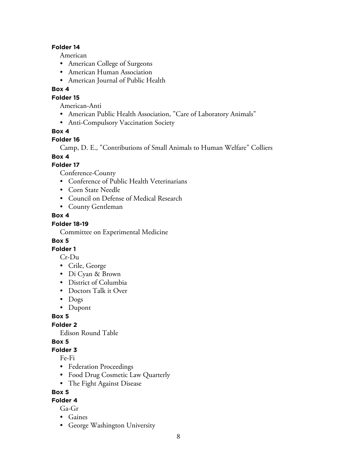#### **Folder 14**

American

- American College of Surgeons
- American Human Association
- American Journal of Public Health

#### **Box 4**

#### **Folder 15**

American-Anti

- American Public Health Association, "Care of Laboratory Animals"
- Anti-Compulsory Vaccination Society

#### **Box 4**

#### **Folder 16**

Camp, D. E., "Contributions of Small Animals to Human Welfare" Colliers

#### **Box 4**

#### **Folder 17**

Conference-County

- Conference of Public Health Veterinarians
- Corn State Needle
- Council on Defense of Medical Research
- County Gentleman

#### **Box 4**

## **Folder 18-19**

Committee on Experimental Medicine

#### **Box 5**

**Folder 1**

Cr-Du

- Crile, George
- Di Cyan & Brown
- District of Columbia
- Doctors Talk it Over
- Dogs
- Dupont

**Box 5**

**Folder 2**

Edison Round Table

## **Box 5**

#### **Folder 3**

Fe-Fi

- Federation Proceedings
- Food Drug Cosmetic Law Quarterly
- The Fight Against Disease

#### **Box 5**

# **Folder 4**

Ga-Gr

- Gaines
- George Washington University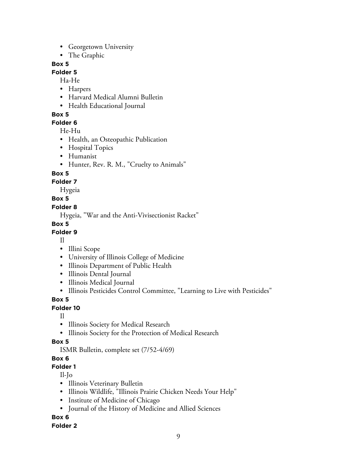- Georgetown University
- The Graphic

#### **Box 5**

#### **Folder 5**

Ha-He

- Harpers
- Harvard Medical Alumni Bulletin
- Health Educational Journal

#### **Box 5**

**Folder 6**

He-Hu

- Health, an Osteopathic Publication
- Hospital Topics
- Humanist
- Hunter, Rev. R. M., "Cruelty to Animals"

## **Box 5**

**Folder 7**

Hygeia

## **Box 5**

#### **Folder 8**

Hygeia, "War and the Anti-Vivisectionist Racket"

# **Box 5**

## **Folder 9**

Il

- Illini Scope
- University of Illinois College of Medicine
- Illinois Department of Public Health
- Illinois Dental Journal
- Illinois Medical Journal
- Illinois Pesticides Control Committee, "Learning to Live with Pesticides"

**Box 5**

## **Folder 10**

- Il
- Illinois Society for Medical Research
- Illinois Society for the Protection of Medical Research

## **Box 5**

ISMR Bulletin, complete set (7/52-4/69)

## **Box 6**

**Folder 1**

Il-Jo

- Illinois Veterinary Bulletin
- Illinois Wildlife, "Illinois Prairie Chicken Needs Your Help"
- Institute of Medicine of Chicago
- Journal of the History of Medicine and Allied Sciences

## **Box 6**

#### **Folder 2**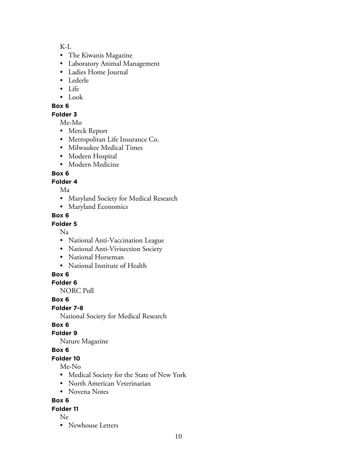K-L

- The Kiwanis Magazine
- Laboratory Animal Management
- Ladies Home Journal
- Lederle
- Life
- Look

## **Box 6**

#### **Folder 3**

Me-Mo

- Merck Report
- Metropolitan Life Insurance Co.
- Milwaukee Medical Times
- Modern Hospital
- Modern Medicine

## **Box 6**

## **Folder 4**

Ma

- Maryland Society for Medical Research
- Maryland Economics

#### **Box 6**

#### **Folder 5**

Na

- National Anti-Vaccination League
- National Anti-Vivisection Society
- National Horseman
- National Institute of Health

## **Box 6**

## **Folder 6**

NORC Poll

## **Box 6**

**Folder 7-8**

National Society for Medical Research

# **Box 6**

## **Folder 9**

Nature Magazine

## **Box 6**

# **Folder 10**

## Me-No

- Medical Society for the State of New York
- North American Veterinarian
- Novena Notes

# **Box 6**

## **Folder 11**

Ne

• Newhouse Letters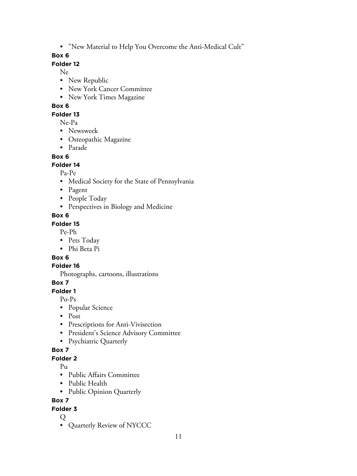• "New Material to Help You Overcome the Anti-Medical Cult"

### **Box 6**

#### **Folder 12**

Ne

- New Republic
- New York Cancer Committee
- New York Times Magazine

#### **Box 6**

## **Folder 13**

Ne-Pa

- Newsweek
- Osteopathic Magazine
- Parade

## **Box 6**

#### **Folder 14**

Pa-Pe

- Medical Society for the State of Pennsylvania
- Pagent
- People Today
- Perspectives in Biology and Medicine

## **Box 6**

#### **Folder 15**

Pe-Ph

- Pets Today
- Phi Beta Pi

## **Box 6**

## **Folder 16**

Photographs, cartoons, illustrations

## **Box 7**

**Folder 1**

Po-Ps

- Popular Science
- Post
- Prescriptions for Anti-Vivisection
- President's Science Advisory Committee
- Psychiatric Quarterly

## **Box 7**

## **Folder 2**

 $P_{11}$ 

- Public Affairs Committee
- Public Health
- Public Opinion Quarterly

# **Box 7**

## **Folder 3**

Q

• Quarterly Review of NYCCC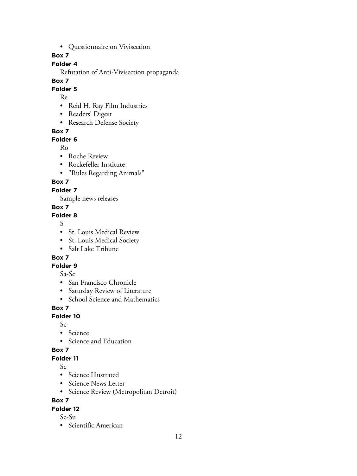• Questionnaire on Vivisection

## **Box 7**

# **Folder 4**

Refutation of Anti-Vivisection propaganda

## **Box 7**

**Folder 5**

Re

- Reid H. Ray Film Industries
- Readers' Digest
- Research Defense Society

# **Box 7**

# **Folder 6**

Ro

- Roche Review
- Rockefeller Institute
- "Rules Regarding Animals"

# **Box 7**

# **Folder 7**

Sample news releases

# **Box 7**

**Folder 8**

S

- St. Louis Medical Review
- St. Louis Medical Society
- Salt Lake Tribune

# **Box 7**

**Folder 9**

Sa-Sc

- San Francisco Chronicle
- Saturday Review of Literature
- School Science and Mathematics

# **Box 7**

# **Folder 10**

Sc

- Science
- Science and Education

# **Box 7**

# **Folder 11**

Sc

- Science Illustrated
- Science News Letter
- Science Review (Metropolitan Detroit)

# **Box 7**

## **Folder 12**

Sc-Su

• Scientific American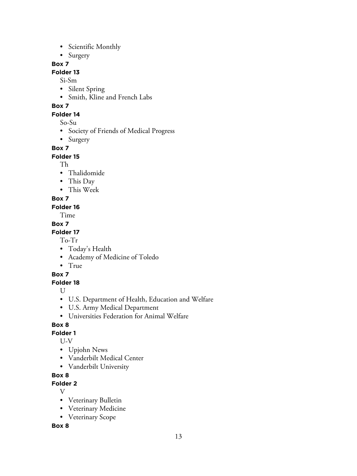- Scientific Monthly
- Surgery

#### **Box 7**

## **Folder 13**

Si-Sm

- Silent Spring
- Smith, Kline and French Labs

# **Box 7**

#### **Folder 14**

So-Su

- Society of Friends of Medical Progress
- Surgery

#### **Box 7**

#### **Folder 15**

Th

- Thalidomide
- This Day
- This Week

#### **Box 7**

#### **Folder 16**

Time

#### **Box 7**

#### **Folder 17**

To-Tr

- Today's Health
- Academy of Medicine of Toledo
- True

## **Box 7**

## **Folder 18**

 $U$ 

- U.S. Department of Health, Education and Welfare
- U.S. Army Medical Department
- Universities Federation for Animal Welfare

## **Box 8**

## **Folder 1**

U-V

- Upjohn News
- Vanderbilt Medical Center
- Vanderbilt University

## **Box 8**

**Folder 2**

- V
- Veterinary Bulletin
- Veterinary Medicine
- Veterinary Scope

**Box 8**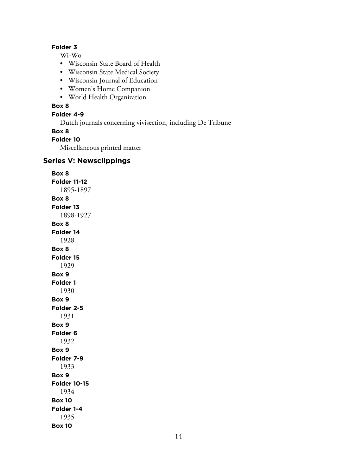#### **Folder 3**

Wi-Wo

- Wisconsin State Board of Health
- Wisconsin State Medical Society
- Wisconsin Journal of Education
- Women's Home Companion
- World Health Organization

#### **Box 8**

#### **Folder 4-9**

Dutch journals concerning vivisection, including De Tribune

#### **Box 8**

#### **Folder 10**

Miscellaneous printed matter

# **Series V: Newsclippings**

**Box 8 Folder 11-12** 1895-1897 **Box 8 Folder 13** 1898-1927 **Box 8 Folder 14** 1928 **Box 8 Folder 15** 1929 **Box 9 Folder 1** 1930 **Box 9 Folder 2-5** 1931 **Box 9 Folder 6** 1932 **Box 9 Folder 7-9** 1933 **Box 9 Folder 10-15** 1934 **Box 10 Folder 1-4** 1935 **Box 10**